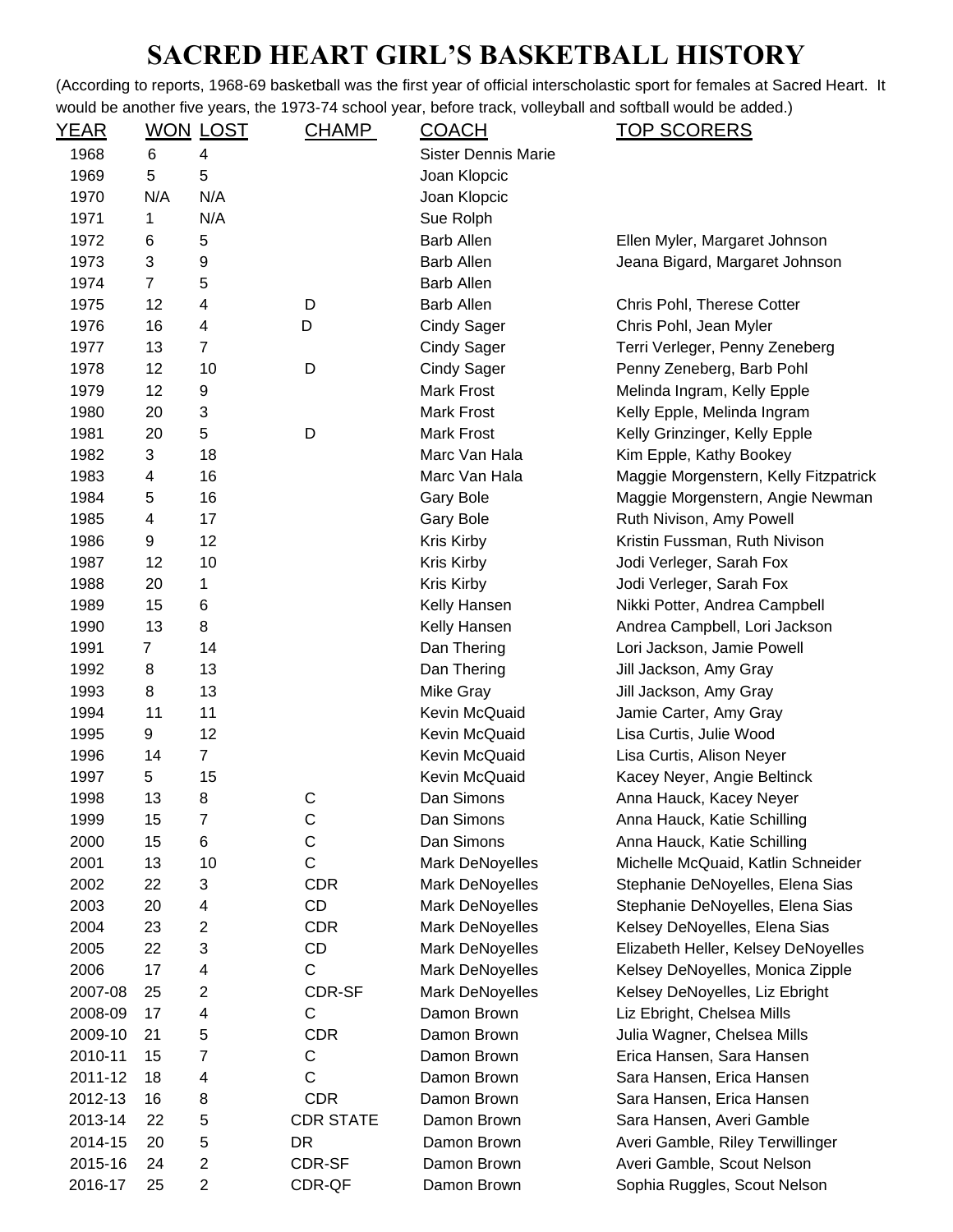## **SACRED HEART GIRL'S BASKETBALL HISTORY**

(According to reports, 1968-69 basketball was the first year of official interscholastic sport for females at Sacred Heart. It would be another five years, the 1973-74 school year, before track, volleyball and softball would be added.)

| <u>YEAR</u> |                | <u>WON LOST</u> | <b>CHAMP</b>     | <b>COACH</b>               | <u>TOP SCORERS</u>                    |
|-------------|----------------|-----------------|------------------|----------------------------|---------------------------------------|
| 1968        | 6              | 4               |                  | <b>Sister Dennis Marie</b> |                                       |
| 1969        | 5              | 5               |                  | Joan Klopcic               |                                       |
| 1970        | N/A            | N/A             |                  | Joan Klopcic               |                                       |
| 1971        | 1              | N/A             |                  | Sue Rolph                  |                                       |
| 1972        | 6              | 5               |                  | <b>Barb Allen</b>          | Ellen Myler, Margaret Johnson         |
| 1973        | 3              | 9               |                  | <b>Barb Allen</b>          | Jeana Bigard, Margaret Johnson        |
| 1974        | $\overline{7}$ | 5               |                  | <b>Barb Allen</b>          |                                       |
| 1975        | 12             | 4               | D                | <b>Barb Allen</b>          | Chris Pohl, Therese Cotter            |
| 1976        | 16             | 4               | D                | <b>Cindy Sager</b>         | Chris Pohl, Jean Myler                |
| 1977        | 13             | $\overline{7}$  |                  | <b>Cindy Sager</b>         | Terri Verleger, Penny Zeneberg        |
| 1978        | 12             | 10              | D                | <b>Cindy Sager</b>         | Penny Zeneberg, Barb Pohl             |
| 1979        | 12             | 9               |                  | <b>Mark Frost</b>          | Melinda Ingram, Kelly Epple           |
| 1980        | 20             | 3               |                  | <b>Mark Frost</b>          | Kelly Epple, Melinda Ingram           |
| 1981        | 20             | 5               | D                | <b>Mark Frost</b>          | Kelly Grinzinger, Kelly Epple         |
| 1982        | 3              | 18              |                  | Marc Van Hala              | Kim Epple, Kathy Bookey               |
| 1983        | 4              | 16              |                  | Marc Van Hala              | Maggie Morgenstern, Kelly Fitzpatrick |
| 1984        | 5              | 16              |                  | Gary Bole                  | Maggie Morgenstern, Angie Newman      |
| 1985        | 4              | 17              |                  | Gary Bole                  | Ruth Nivison, Amy Powell              |
| 1986        | 9              | 12              |                  | Kris Kirby                 | Kristin Fussman, Ruth Nivison         |
| 1987        | 12             | 10              |                  | Kris Kirby                 | Jodi Verleger, Sarah Fox              |
| 1988        | 20             | 1               |                  | Kris Kirby                 | Jodi Verleger, Sarah Fox              |
| 1989        | 15             | 6               |                  | Kelly Hansen               | Nikki Potter, Andrea Campbell         |
| 1990        | 13             | 8               |                  | Kelly Hansen               | Andrea Campbell, Lori Jackson         |
| 1991        | $\overline{7}$ | 14              |                  | Dan Thering                | Lori Jackson, Jamie Powell            |
| 1992        | 8              | 13              |                  | Dan Thering                | Jill Jackson, Amy Gray                |
| 1993        | 8              | 13              |                  | <b>Mike Gray</b>           | Jill Jackson, Amy Gray                |
| 1994        | 11             | 11              |                  | Kevin McQuaid              | Jamie Carter, Amy Gray                |
| 1995        | 9              | 12              |                  | Kevin McQuaid              | Lisa Curtis, Julie Wood               |
| 1996        | 14             | $\overline{7}$  |                  | Kevin McQuaid              | Lisa Curtis, Alison Neyer             |
| 1997        | 5              | 15              |                  | Kevin McQuaid              | Kacey Neyer, Angie Beltinck           |
| 1998        | 13             | 8               | C                | Dan Simons                 | Anna Hauck, Kacey Neyer               |
| 1999        | 15             | 7               | С                | Dan Simons                 | Anna Hauck, Katie Schilling           |
| 2000        | 15             | 6               | C                | Dan Simons                 | Anna Hauck, Katie Schilling           |
| 2001        | 13             | 10              | $\mathsf C$      | <b>Mark DeNoyelles</b>     | Michelle McQuaid, Katlin Schneider    |
| 2002        | 22             | 3               | <b>CDR</b>       | Mark DeNoyelles            | Stephanie DeNoyelles, Elena Sias      |
| 2003        | 20             | 4               | CD               | Mark DeNoyelles            | Stephanie DeNoyelles, Elena Sias      |
| 2004        | 23             | 2               | <b>CDR</b>       | <b>Mark DeNoyelles</b>     | Kelsey DeNoyelles, Elena Sias         |
| 2005        | 22             | 3               | CD               | <b>Mark DeNoyelles</b>     | Elizabeth Heller, Kelsey DeNoyelles   |
| 2006        | 17             | 4               | C                | Mark DeNoyelles            | Kelsey DeNoyelles, Monica Zipple      |
| 2007-08     | 25             | 2               | CDR-SF           | Mark DeNoyelles            | Kelsey DeNoyelles, Liz Ebright        |
| 2008-09     | 17             | 4               | C                | Damon Brown                | Liz Ebright, Chelsea Mills            |
| 2009-10     | 21             | 5               | <b>CDR</b>       | Damon Brown                | Julia Wagner, Chelsea Mills           |
| 2010-11     | 15             | 7               | $\mathsf C$      | Damon Brown                | Erica Hansen, Sara Hansen             |
| 2011-12     | 18             | 4               | C                | Damon Brown                | Sara Hansen, Erica Hansen             |
| 2012-13     | 16             | 8               | <b>CDR</b>       | Damon Brown                | Sara Hansen, Erica Hansen             |
| 2013-14     | 22             | 5               | <b>CDR STATE</b> | Damon Brown                | Sara Hansen, Averi Gamble             |
| 2014-15     | 20             | 5               | <b>DR</b>        | Damon Brown                | Averi Gamble, Riley Terwillinger      |
| 2015-16     | 24             | $\overline{2}$  | CDR-SF           | Damon Brown                | Averi Gamble, Scout Nelson            |
| 2016-17     | 25             | 2               | CDR-QF           | Damon Brown                | Sophia Ruggles, Scout Nelson          |
|             |                |                 |                  |                            |                                       |